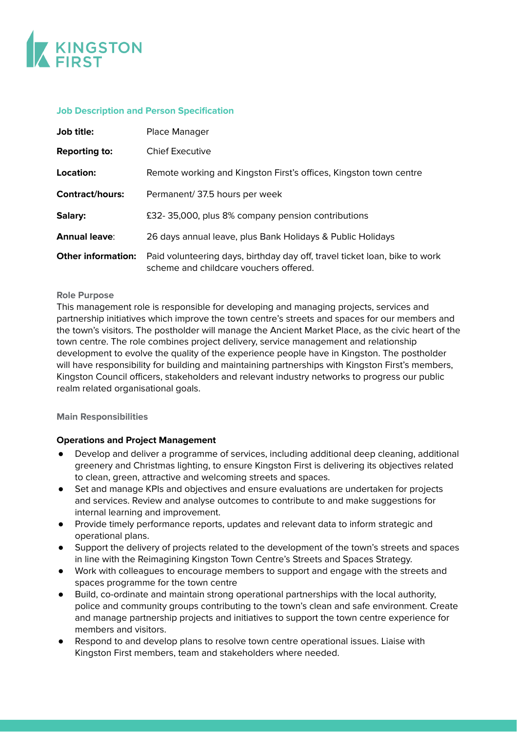

# **Job Description and Person Specification**

| Job title:                | Place Manager                                                                                                        |
|---------------------------|----------------------------------------------------------------------------------------------------------------------|
| <b>Reporting to:</b>      | <b>Chief Executive</b>                                                                                               |
| Location:                 | Remote working and Kingston First's offices, Kingston town centre                                                    |
| <b>Contract/hours:</b>    | Permanent/37.5 hours per week                                                                                        |
| Salary:                   | £32-35,000, plus 8% company pension contributions                                                                    |
| <b>Annual leave:</b>      | 26 days annual leave, plus Bank Holidays & Public Holidays                                                           |
| <b>Other information:</b> | Paid volunteering days, birthday day off, travel ticket loan, bike to work<br>scheme and childcare vouchers offered. |

### **Role Purpose**

This management role is responsible for developing and managing projects, services and partnership initiatives which improve the town centre's streets and spaces for our members and the town's visitors. The postholder will manage the Ancient Market Place, as the civic heart of the town centre. The role combines project delivery, service management and relationship development to evolve the quality of the experience people have in Kingston. The postholder will have responsibility for building and maintaining partnerships with Kingston First's members, Kingston Council officers, stakeholders and relevant industry networks to progress our public realm related organisational goals.

## **Main Responsibilities**

## **Operations and Project Management**

- Develop and deliver a programme of services, including additional deep cleaning, additional greenery and Christmas lighting, to ensure Kingston First is delivering its objectives related to clean, green, attractive and welcoming streets and spaces.
- Set and manage KPIs and objectives and ensure evaluations are undertaken for projects and services. Review and analyse outcomes to contribute to and make suggestions for internal learning and improvement.
- Provide timely performance reports, updates and relevant data to inform strategic and operational plans.
- Support the delivery of projects related to the development of the town's streets and spaces in line with the Reimagining Kingston Town Centre's Streets and Spaces Strategy.
- Work with colleagues to encourage members to support and engage with the streets and spaces programme for the town centre
- Build, co-ordinate and maintain strong operational partnerships with the local authority, police and community groups contributing to the town's clean and safe environment. Create and manage partnership projects and initiatives to support the town centre experience for members and visitors.
- Respond to and develop plans to resolve town centre operational issues. Liaise with Kingston First members, team and stakeholders where needed.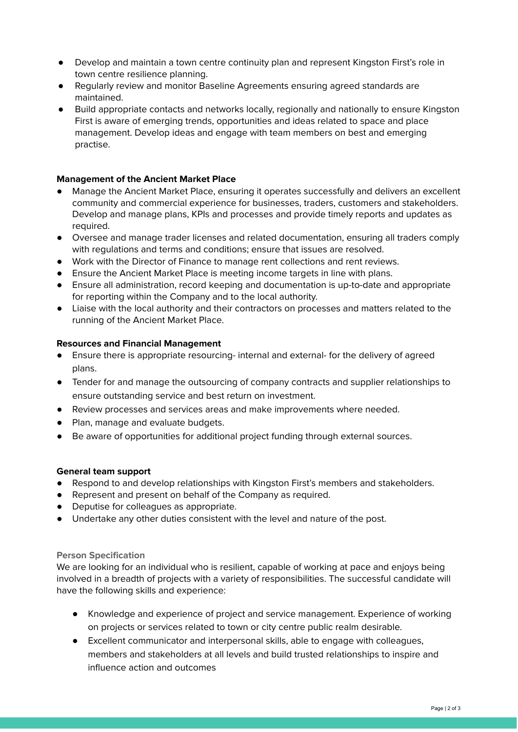- Develop and maintain a town centre continuity plan and represent Kingston First's role in town centre resilience planning.
- Regularly review and monitor Baseline Agreements ensuring agreed standards are maintained.
- Build appropriate contacts and networks locally, regionally and nationally to ensure Kingston First is aware of emerging trends, opportunities and ideas related to space and place management. Develop ideas and engage with team members on best and emerging practise.

# **Management of the Ancient Market Place**

- Manage the Ancient Market Place, ensuring it operates successfully and delivers an excellent community and commercial experience for businesses, traders, customers and stakeholders. Develop and manage plans, KPIs and processes and provide timely reports and updates as required.
- Oversee and manage trader licenses and related documentation, ensuring all traders comply with regulations and terms and conditions; ensure that issues are resolved.
- Work with the Director of Finance to manage rent collections and rent reviews.
- Ensure the Ancient Market Place is meeting income targets in line with plans.
- Ensure all administration, record keeping and documentation is up-to-date and appropriate for reporting within the Company and to the local authority.
- Liaise with the local authority and their contractors on processes and matters related to the running of the Ancient Market Place.

## **Resources and Financial Management**

- Ensure there is appropriate resourcing- internal and external- for the delivery of agreed plans.
- Tender for and manage the outsourcing of company contracts and supplier relationships to ensure outstanding service and best return on investment.
- Review processes and services areas and make improvements where needed.
- Plan, manage and evaluate budgets.
- Be aware of opportunities for additional project funding through external sources.

## **General team support**

- Respond to and develop relationships with Kingston First's members and stakeholders.
- Represent and present on behalf of the Company as required.
- Deputise for colleagues as appropriate.
- Undertake any other duties consistent with the level and nature of the post.

## **Person Specification**

We are looking for an individual who is resilient, capable of working at pace and enjoys being involved in a breadth of projects with a variety of responsibilities. The successful candidate will have the following skills and experience:

- Knowledge and experience of project and service management. Experience of working on projects or services related to town or city centre public realm desirable.
- Excellent communicator and interpersonal skills, able to engage with colleagues, members and stakeholders at all levels and build trusted relationships to inspire and influence action and outcomes